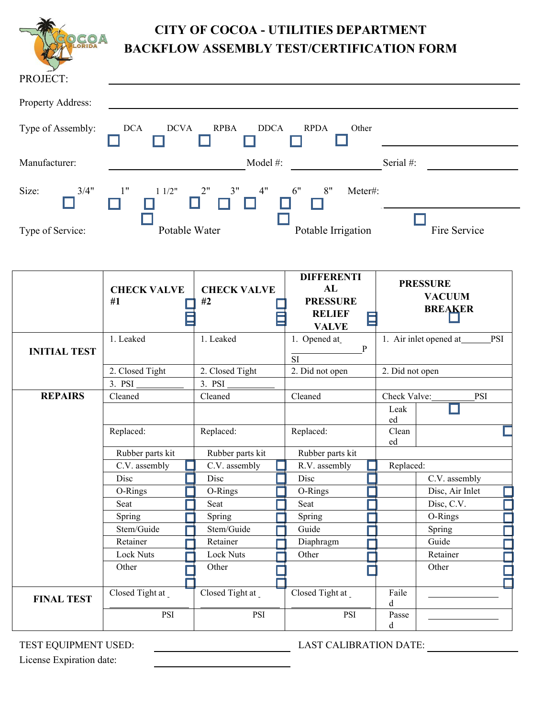| CO <sub>A</sub>   | <b>BACKFLOW ASSEMBLY TEST/CERTIFICATION FORM</b> | <b>CITY OF COCOA - UTILITIES DEPARTMENT</b> |              |
|-------------------|--------------------------------------------------|---------------------------------------------|--------------|
| PROJECT:          |                                                  |                                             |              |
| Property Address: |                                                  |                                             |              |
| Type of Assembly: | <b>DCA</b><br><b>DCVA</b><br><b>RPBA</b>         | <b>DDCA</b><br><b>RPDA</b><br>Other         |              |
| Manufacturer:     |                                                  | Model #:                                    | Serial #:    |
| Size:<br>3/4"     | 1"<br>3"<br>11/2"                                | 4"<br>6"<br>8"<br>Meter#:                   |              |
| Type of Service:  | Potable Water                                    | Potable Irrigation                          | Fire Service |

|                     | <b>CHECK VALVE</b><br>#1 | <b>CHECK VALVE</b><br>#2 | <b>DIFFERENTI</b><br>AL<br><b>PRESSURE</b><br><b>RELIEF</b><br><b>VALVE</b> | <b>PRESSURE</b><br><b>VACUUM</b><br><b>BREAKER</b> |  |
|---------------------|--------------------------|--------------------------|-----------------------------------------------------------------------------|----------------------------------------------------|--|
| <b>INITIAL TEST</b> | 1. Leaked                | 1. Leaked                | 1. Opened at<br>P                                                           | 1. Air inlet opened at<br><b>PSI</b>               |  |
|                     |                          |                          | <b>SI</b>                                                                   |                                                    |  |
|                     | 2. Closed Tight          | 2. Closed Tight          | 2. Did not open                                                             | 2. Did not open                                    |  |
|                     | 3. PSI                   | 3. PSI                   |                                                                             |                                                    |  |
| <b>REPAIRS</b>      | Cleaned                  | Cleaned                  | Cleaned                                                                     | Check Valve:<br>PSI                                |  |
|                     |                          |                          |                                                                             | Leak<br>ed                                         |  |
|                     | Replaced:                | Replaced:                | Replaced:                                                                   | Clean<br>ed                                        |  |
|                     | Rubber parts kit         | Rubber parts kit         | Rubber parts kit                                                            |                                                    |  |
|                     | C.V. assembly            | C.V. assembly            | R.V. assembly                                                               | Replaced:                                          |  |
|                     | Disc                     | Disc                     | Disc                                                                        | C.V. assembly                                      |  |
|                     | O-Rings                  | O-Rings                  | O-Rings                                                                     | Disc, Air Inlet                                    |  |
|                     | Seat                     | Seat                     | Seat                                                                        | Disc, C.V.                                         |  |
|                     | Spring                   | Spring                   | Spring                                                                      | O-Rings                                            |  |
|                     | Stem/Guide               | Stem/Guide               | Guide                                                                       | Spring                                             |  |
|                     | Retainer                 | Retainer                 | Diaphragm                                                                   | Guide                                              |  |
|                     | <b>Lock Nuts</b>         | <b>Lock Nuts</b>         | Other                                                                       | Retainer                                           |  |
|                     | Other                    | Other                    |                                                                             | Other                                              |  |
|                     |                          |                          |                                                                             |                                                    |  |
| <b>FINAL TEST</b>   | Closed Tight at          | Closed Tight at          | Closed Tight at                                                             | Faile<br>d                                         |  |
|                     | <b>PSI</b>               | <b>PSI</b>               | <b>PSI</b>                                                                  | Passe<br>d                                         |  |

TEST EQUIPMENT USED: LAST CALIBRATION DATE:

License Expiration date: